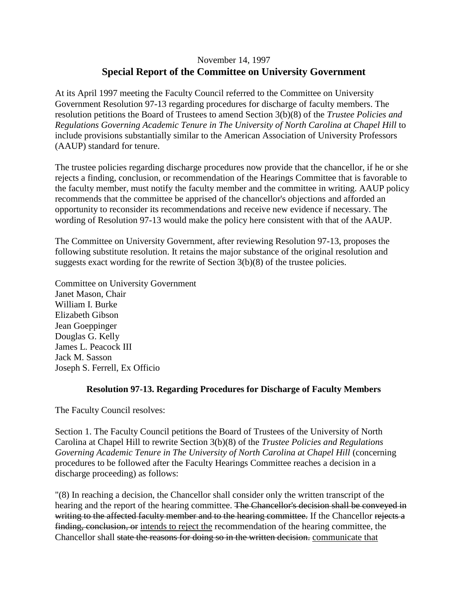## November 14, 1997 **Special Report of the Committee on University Government**

At its April 1997 meeting the Faculty Council referred to the Committee on University Government Resolution 97-13 regarding procedures for discharge of faculty members. The resolution petitions the Board of Trustees to amend Section 3(b)(8) of the *Trustee Policies and Regulations Governing Academic Tenure in The University of North Carolina at Chapel Hill* to include provisions substantially similar to the American Association of University Professors (AAUP) standard for tenure.

The trustee policies regarding discharge procedures now provide that the chancellor, if he or she rejects a finding, conclusion, or recommendation of the Hearings Committee that is favorable to the faculty member, must notify the faculty member and the committee in writing. AAUP policy recommends that the committee be apprised of the chancellor's objections and afforded an opportunity to reconsider its recommendations and receive new evidence if necessary. The wording of Resolution 97-13 would make the policy here consistent with that of the AAUP.

The Committee on University Government, after reviewing Resolution 97-13, proposes the following substitute resolution. It retains the major substance of the original resolution and suggests exact wording for the rewrite of Section 3(b)(8) of the trustee policies.

Committee on University Government Janet Mason, Chair William I. Burke Elizabeth Gibson Jean Goeppinger Douglas G. Kelly James L. Peacock III Jack M. Sasson Joseph S. Ferrell, Ex Officio

## **Resolution 97-13. Regarding Procedures for Discharge of Faculty Members**

The Faculty Council resolves:

Section 1. The Faculty Council petitions the Board of Trustees of the University of North Carolina at Chapel Hill to rewrite Section 3(b)(8) of the *Trustee Policies and Regulations Governing Academic Tenure in The University of North Carolina at Chapel Hill* (concerning procedures to be followed after the Faculty Hearings Committee reaches a decision in a discharge proceeding) as follows:

"(8) In reaching a decision, the Chancellor shall consider only the written transcript of the hearing and the report of the hearing committee. The Chancellor's decision shall be conveyed in writing to the affected faculty member and to the hearing committee. If the Chancellor rejects a finding, conclusion, or intends to reject the recommendation of the hearing committee, the Chancellor shall state the reasons for doing so in the written decision. communicate that